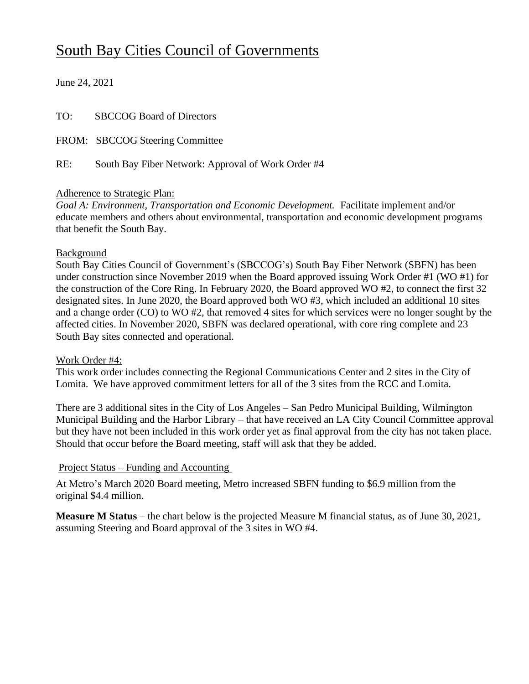# South Bay Cities Council of Governments

June 24, 2021

| TO: | <b>SBCCOG Board of Directors</b>                   |
|-----|----------------------------------------------------|
|     | FROM: SBCCOG Steering Committee                    |
| RE: | South Bay Fiber Network: Approval of Work Order #4 |

#### Adherence to Strategic Plan:

*Goal A: Environment, Transportation and Economic Development.* Facilitate implement and/or educate members and others about environmental, transportation and economic development programs that benefit the South Bay.

#### Background

South Bay Cities Council of Government's (SBCCOG's) South Bay Fiber Network (SBFN) has been under construction since November 2019 when the Board approved issuing Work Order #1 (WO #1) for the construction of the Core Ring. In February 2020, the Board approved WO #2, to connect the first 32 designated sites. In June 2020, the Board approved both WO #3, which included an additional 10 sites and a change order (CO) to WO #2, that removed 4 sites for which services were no longer sought by the affected cities. In November 2020, SBFN was declared operational, with core ring complete and 23 South Bay sites connected and operational.

#### Work Order #4:

This work order includes connecting the Regional Communications Center and 2 sites in the City of Lomita. We have approved commitment letters for all of the 3 sites from the RCC and Lomita.

There are 3 additional sites in the City of Los Angeles – San Pedro Municipal Building, Wilmington Municipal Building and the Harbor Library – that have received an LA City Council Committee approval but they have not been included in this work order yet as final approval from the city has not taken place. Should that occur before the Board meeting, staff will ask that they be added.

### Project Status – Funding and Accounting

At Metro's March 2020 Board meeting, Metro increased SBFN funding to \$6.9 million from the original \$4.4 million.

**Measure M Status** – the chart below is the projected Measure M financial status, as of June 30, 2021, assuming Steering and Board approval of the 3 sites in WO #4.